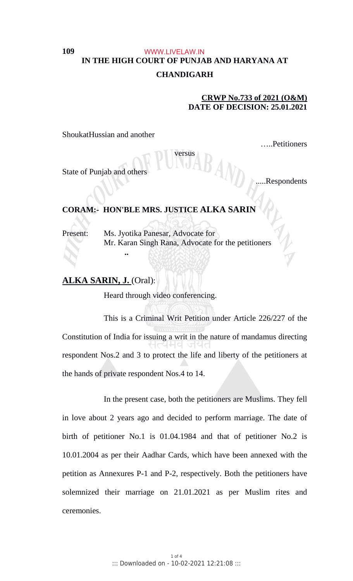## **IN THE HIGH COURT OF PUNJAB AND HARYANA AT CHANDIGARH** WWW.LIVELAW.IN

versus

## **CRWP No.733 of 2021 (O&M) DATE OF DECISION: 25.01.2021**

ShoukatHussian and another

**109**

…..Petitioners

State of Punjab and others

.Respondents

# **CORAM:- HON'BLE MRS. JUSTICE ALKA SARIN**

Present: Ms. Jyotika Panesar, Advocate for Mr. Karan Singh Rana, Advocate for the petitioners

## **ALKA SARIN, J.** (Oral):

**..**

Heard through video conferencing.

This is a Criminal Writ Petition under Article 226/227 of the Constitution of India for issuing a writ in the nature of mandamus directing respondent Nos.2 and 3 to protect the life and liberty of the petitioners at the hands of private respondent Nos.4 to 14.

In the present case, both the petitioners are Muslims. They fell in love about 2 years ago and decided to perform marriage. The date of birth of petitioner No.1 is 01.04.1984 and that of petitioner No.2 is 10.01.2004 as per their Aadhar Cards, which have been annexed with the petition as Annexures P-1 and P-2, respectively. Both the petitioners have solemnized their marriage on 21.01.2021 as per Muslim rites and ceremonies.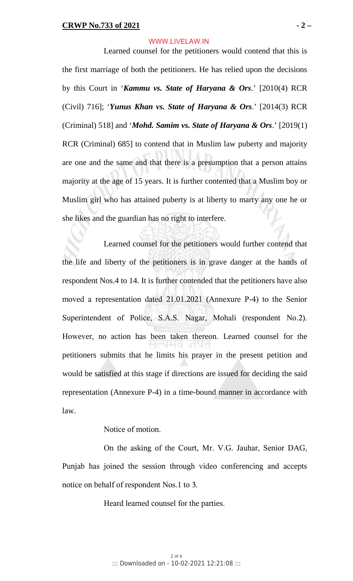#### WWW.LIVELAW.IN

Learned counsel for the petitioners would contend that this is the first marriage of both the petitioners. He has relied upon the decisions by this Court in '*Kammu vs. State of Haryana & Ors*.' [2010(4) RCR (Civil) 716]; '*Yunus Khan vs. State of Haryana & Ors*.' [2014(3) RCR (Criminal) 518] and '*Mohd. Samim vs. State of Haryana & Ors*.' [2019(1) RCR (Criminal) 685] to contend that in Muslim law puberty and majority are one and the same and that there is a presumption that a person attains majority at the age of 15 years. It is further contented that a Muslim boy or Muslim girl who has attained puberty is at liberty to marry any one he or she likes and the guardian has no right to interfere.

Learned counsel for the petitioners would further contend that the life and liberty of the petitioners is in grave danger at the hands of respondent Nos.4 to 14. It is further contended that the petitioners have also moved a representation dated 21.01.2021 (Annexure P-4) to the Senior Superintendent of Police, S.A.S. Nagar, Mohali (respondent No.2). However, no action has been taken thereon. Learned counsel for the petitioners submits that he limits his prayer in the present petition and would be satisfied at this stage if directions are issued for deciding the said representation (Annexure P-4) in a time-bound manner in accordance with law.

Notice of motion.

On the asking of the Court, Mr. V.G. Jauhar, Senior DAG, Punjab has joined the session through video conferencing and accepts notice on behalf of respondent Nos.1 to 3.

Heard learned counsel for the parties.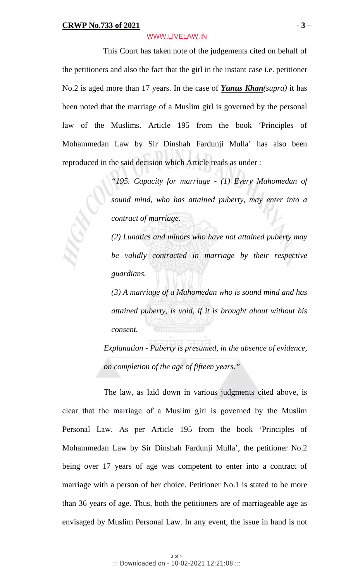#### WWW.LIVELAW.IN

This Court has taken note of the judgements cited on behalf of the petitioners and also the fact that the girl in the instant case i.e. petitioner No.2 is aged more than 17 years. In the case of *Yunus Khan(supra)* it has been noted that the marriage of a Muslim girl is governed by the personal law of the Muslims. Article 195 from the book 'Principles of Mohammedan Law by Sir Dinshah Fardunji Mulla' has also been reproduced in the said decision which Article reads as under :

> *"195. Capacity for marriage - (1) Every Mahomedan of sound mind, who has attained puberty, may enter into a contract of marriage.*

> *(2) Lunatics and minors who have not attained puberty may be validly contracted in marriage by their respective guardians.*

> *(3) A marriage of a Mahomedan who is sound mind and has attained puberty, is void, if it is brought about without his consent.*

*Explanation - Puberty is presumed, in the absence of evidence, on completion of the age of fifteen years."*

The law, as laid down in various judgments cited above, is clear that the marriage of a Muslim girl is governed by the Muslim Personal Law. As per Article 195 from the book 'Principles of Mohammedan Law by Sir Dinshah Fardunji Mulla', the petitioner No.2 being over 17 years of age was competent to enter into a contract of marriage with a person of her choice. Petitioner No.1 is stated to be more than 36 years of age. Thus, both the petitioners are of marriageable age as envisaged by Muslim Personal Law. In any event, the issue in hand is not